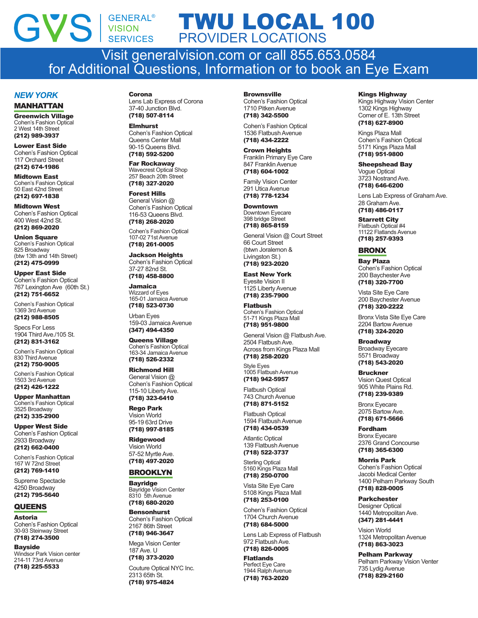# **GVS** SENERAL<sup>®</sup> TWU LOCAL 100 PROVIDER LOCATIONS

# Visit generalvision.com or call 855.653.0584 for Additional Questions, Information or to book an Eye Exam

# *NEW YORK*

# MANHATTAN

Greenwich Village Cohen's Fashion Optical 2 West 14th Street (212) 989-3937

Lower East Side Cohen's Fashion Optical 117 Orchard Street (212) 674-1986

Midtown East Cohen's Fashion Optical 50 East 42nd Street (212) 697-1838

Midtown West Cohen's Fashion Optical 400 West 42nd St. (212) 869-2020

Union Square Cohen's Fashion Optical 825 Broadway (btw 13th and 14th Street) (212) 475-0999

Upper East Side Cohen's Fashion Optical 767 Lexington Ave (60th St.) (212) 751-6652

Cohen's Fashion Optical 1369 3rd Avenue (212) 988-8505

Specs For Less 1904 Third Ave./105 St. (212) 831-3162

Cohen's Fashion Optical 830 Third Avenue (212) 750-9005

Cohen's Fashion Optical 1503 3rd Avenue (212) 426-1222

Upper Manhattan Cohen's Fashion Optical 3525 Broadway (212) 335-2900

Upper West Side Cohen's Fashion Optical 2933 Broadway (212) 662-0400

Cohen's Fashion Optical 167 W 72nd Street (212) 769-1410

Supreme Spectacle 4250 Broadway (212) 795-5640

# **QUEENS**

Astoria Cohen's Fashion Optical 30-93 Steinway Street (718) 274-3500

Bayside Windsor Park Vision center 214-11 73rd Avenue (718) 225-5533

# Corona

Lens Lab Express of Corona 37-40 Junction Blvd. (718) 507-8114

Elmhurst

Cohen's Fashion Optical Queens Center Mall 90-15 Queens Blvd. (718) 592-5200

Far Rockaway Wavecrest Optical Shop 257 Beach 20th Street (718) 327-2020

Forest Hills General Vision @ Cohen's Fashion Optical 116-53 Queens Blvd. (718) 268-2020

Cohen's Fashion Optical 107-02 71st Avenue (718) 261-0005

Jackson Heights Cohen's Fashion Optical 37-27 82nd St. (718) 458-8800

Jamaica Wizzard of Eyes 165-01 Jamaica Avenue (718) 523-0730

Urban Eyes 159-03 Jamaica Avenue (347) 494-4350

Queens Village Cohen's Fashion Optical 163-34 Jamaica Avenue (718) 526-2332

Richmond Hill General Vision @ Cohen's Fashion Optical 115-10 Liberty Ave. (718) 323-6410

Rego Park Vision World 95-19 63rd Drive (718) 997-8185

Ridgewood Vision World 57-52 Myrtle Ave. (718) 497-2020

# BROOKLYN

Bayridge Bayridge Vision Center 8310 5th Avenue (718) 680-2020

**Bensonhurst** Cohen's Fashion Optical 2167 86th Street (718) 946-3647

Mega Vision Center 187 Ave. U (718) 373-2020

Couture Optical NYC Inc. 2313 65th St. (718) 975-4824

#### **Brownsville**

Cohen's Fashion Optical 1710 Pitken Avenue (718) 342-5500

Cohen's Fashion Optical 1536 Flatbush Avenue (718) 434-2222

Crown Heights Franklin Primary Eye Care 847 Franklin Avenue (718) 604-1002

Family Vision Center 291 Utica Avenue (718) 778-1234

Downtown Downtown Eyecare 398 bridge Street (718) 865-8159

General Vision @ Court Street 66 Court Street (btwn Joralemon & Livingston St.) (718) 923-2020

East New York Eyesite Vision II 1125 Liberty Avenue (718) 235-7900

Flatbush Cohen's Fashion Optical 51-71 Kings Plaza Mall (718) 951-9800

General Vision @ Flatbush Ave. 2504 Flatbush Ave. Across from Kings Plaza Mall (718) 258-2020

Style Eyes 1005 Flatbush Avenue (718) 942-5957

Flatbush Optical 743 Church Avenue

(718) 871-5152 Flatbush Optical 1594 Flatbush Avenue (718) 434-0539

Atlantic Optical 139 Flatbush Avenue (718) 522-3737

Sterling Optical 5160 Kings Plaza Mall (718) 250-0700

Vista Site Eye Care 5108 Kings Plaza Mall (718) 253-0100

Cohen's Fashion Optical 1704 Church Avenue (718) 684-5000

Lens Lab Express of Flatbush 972 Flatbush Ave. (718) 826-0005

Flatlands Perfect Eye Care 1944 Ralph Avenue

(718) 763-2020

#### Kings Highway

Kings Highway Vision Center 1302 Kings Highway Corner of E. 13th Street (718) 627-8900

Kings Plaza Mall Cohen's Fashion Optical 5171 Kings Plaza Mall (718) 951-9800

Sheepshead Bay Vogue Optical 3723 Nostrand Ave. (718) 646-6200

Lens Lab Express of Graham Ave. 28 Graham Ave. (718) 486-0117

Starrett City Flatbush Optical #4 11122 Flatlands Avenue (718) 257-9393

# **BRONX**

Bay Plaza Cohen's Fashion Optical 200 Baychester Ave (718) 320-7700

Vista Site Eye Care 200 Baychester Avenue (718) 320-2222

Bronx Vista Site Eye Care 2204 Bartow Avenue (718) 324-2020

**Broadway** Broadway Eyecare 5571 Broadway (718) 543-2020

Bruckner Vision Quest Optical 905 White Plains Rd. (718) 239-9389

Bronx Eyecare 2075 Bartow Ave. (718) 671-5666

Fordham Bronx Eyecare 2376 Grand Concourse (718) 365-6300

Morris Park Cohen's Fashion Optical Jacobi Medical Center 1400 Pelham Parkway South (718) 828-0005

Parkchester Designer Optical 1440 Metropolitan Ave. (347) 281-4441

Vision World 1324 Metropolitan Avenue (718) 863-3023

Pelham Parkway Pelham Parkway Vision Venter 735 Lydig Avenue (718) 829-2160